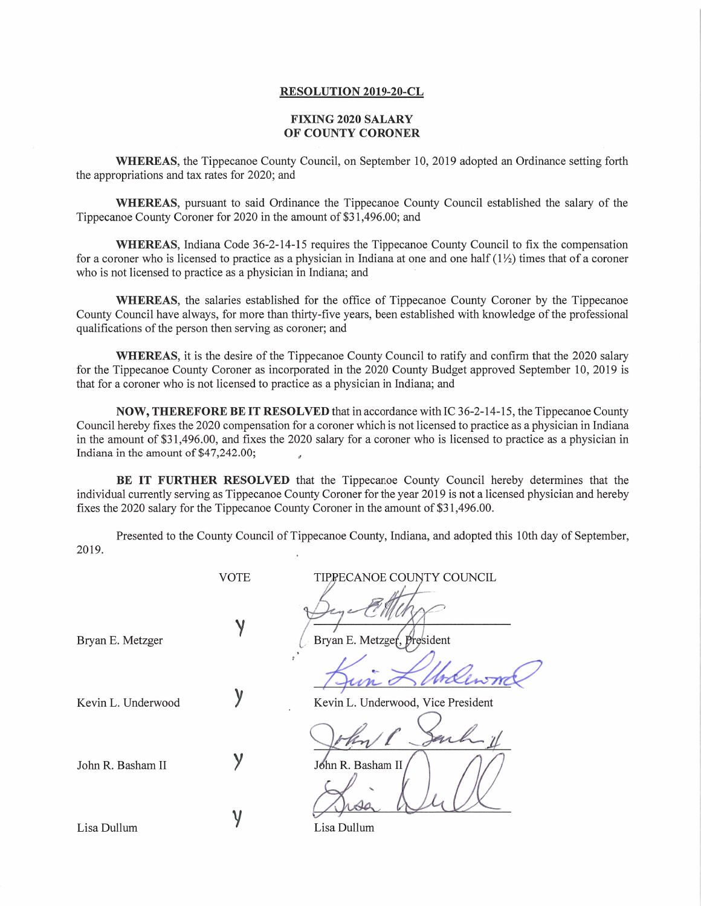## **RESOLUTION 2019-20-CL**

## **FIXING 2020 SALARY OF COUNTY CORONER**

WHEREAS, the Tippecanoe County Council, on September 10, 2019 adopted an Ordinance setting forth the appropriations and tax rates for 2020; and

WHEREAS, pursuan<sup>t</sup> to said Ordinance the Tippecanoe County Council established the salary of the Tippecanoe County Coroner for 2020 in the amount of \$31,496.00; and

WHEREAS, Indiana Code 36-2-14-15 requires the Tippecanoe County Council to fix the compensation for a coroner who is licensed to practice as a physician in Indiana at one and one half  $(1/2)$  times that of a coroner who is not licensed to practice as <sup>a</sup> physician in Indiana; and

WHEREAS, the salaries established for the office of Tippecanoe County Coroner by the Tippecanoe County Council have always, for more than thirty-five years, been established with knowledge of the professional qualifications of the person then serving as coroner; and

WHEREAS, it is the desire of the Tippecanoe County Council to ratify and confirm that the 2020 salary for the Tippecanoe County Coroner as incorporated in the 2020 County Budget approved September 10, 2019 is that for <sup>a</sup> coroner who is not licensed to practice as <sup>a</sup> physician in Indiana; and

**NOW, THEREFORE BE IT RESOLVED** that in accordance with IC 36-2-14-15, the Tippecanoe County Council hereby fixes the 2020 compensation for <sup>a</sup> coroner which is not licensed to practice as <sup>a</sup> physician in Indiana in the amount of \$31,496.00, and fixes the 2020 salary for <sup>a</sup> coroner who is licensed to practice as <sup>a</sup> physician in Indiana in the amount of \$47,242.00;

**BE IT FURTHER RESOLVED** that the Tippecanoe County Council hereby determines that the individual currently serving as Tippecanoe County Coroner for the year 2019 is not <sup>a</sup> licensed physician and hereby fixes the 2020 salary for the Tippecanoe County Coroner in the amount of \$31,496.00.

Presented to the County Council of Tippecanoe County, Indiana, and adopted this 10th day of September, 2019.

|                    | <b>VOTE</b> | TIPPECANOE COUNTY COUNCIL          |
|--------------------|-------------|------------------------------------|
| Bryan E. Metzger   |             | Bryan E. Metzger, President        |
| Kevin L. Underwood |             | Kevin L. Underwood, Vice President |
| John R. Basham II  |             | John R. Basham II                  |
| Lisa Dullum        |             | Lisa Dullum                        |